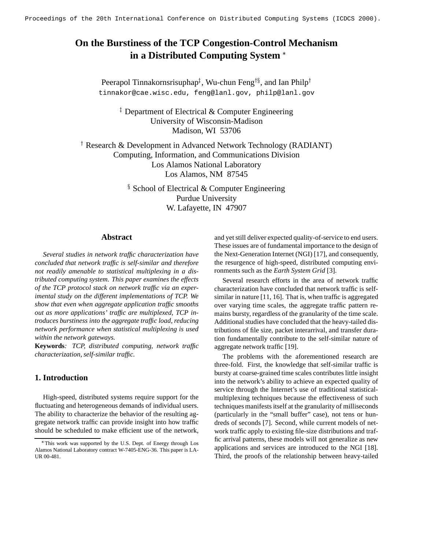# **On the Burstiness of the TCP Congestion-Control Mechanism in a Distributed Computing System**

Peerapol Tinnakornsrisuphap<sup>‡</sup>, Wu-chun Feng<sup>†§</sup>, and Ian Philp tinnakor@cae.wisc.edu, feng@lanl.gov, philp@lanl.gov

> Department of Electrical & Computer Engineering University of Wisconsin-Madison Madison, WI 53706

- Research & Development in Advanced Network Technology (RADIANT) Computing, Information, and Communications Division Los Alamos National Laboratory Los Alamos, NM 87545

> $\frac{1}{2}$  School of Electrical & Computer Engineering Purdue University W. Lafayette, IN 47907

## **Abstract**

*Several studies in network traffic characterization have concluded that network traffic is self-similar and therefore not readily amenable to statistical multiplexing in a distributed computing system. This paper examines the effects of the TCP protocol stack on network traffic via an experimental study on the different implementations of TCP. We show that even when aggregate application traffic smooths out as more applications' traffic are multiplexed, TCP introduces burstiness into the aggregate traffic load, reducing network performance when statistical multiplexing is used within the network gateways.*

**Keywords***: TCP, distributed computing, network traffic characterization, self-similar traffic.*

# **1. Introduction**

High-speed, distributed systems require support for the fluctuating and heterogeneous demands of individual users. The ability to characterize the behavior of the resulting aggregate network traffic can provide insight into how traffic should be scheduled to make efficient use of the network,

and yet still deliver expected quality-of-service to end users. These issues are of fundamental importance to the design of the Next-Generation Internet (NGI) [17], and consequently, the resurgence of high-speed, distributed computing environments such as the *Earth System Grid* [3].

Several research efforts in the area of network traffic characterization have concluded that network traffic is selfsimilar in nature [11, 16]. That is, when traffic is aggregated over varying time scales, the aggregate traffic pattern remains bursty, regardless of the granularity of the time scale. Additional studies have concluded that the heavy-tailed distributions of file size, packet interarrival, and transfer duration fundamentally contribute to the self-similar nature of aggregate network traffic [19].

The problems with the aforementioned research are three-fold. First, the knowledge that self-similar traffic is bursty at coarse-grained time scales contributes little insight into the network's ability to achieve an expected quality of service through the Internet's use of traditional statisticalmultiplexing techniques because the effectiveness of such techniques manifests itself at the granularity of milliseconds (particularly in the "small buffer" case), not tens or hundreds of seconds [7]. Second, while current models of network traffic apply to existing file-size distributions and traffic arrival patterns, these models will not generalize as new applications and services are introduced to the NGI [18]. Third, the proofs of the relationship between heavy-tailed

This work was supported by the U.S. Dept. of Energy through Los Alamos National Laboratory contract W-7405-ENG-36. This paper is LA-UR 00-481.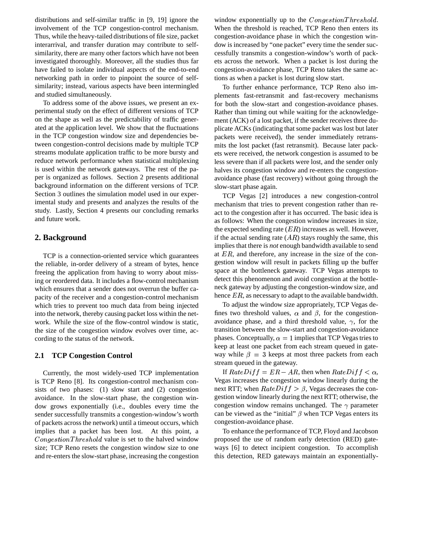distributions and self-similar traffic in [9, 19] ignore the involvement of the TCP congestion-control mechanism. Thus, while the heavy-tailed distributions of file size, packet interarrival, and transfer duration may contribute to selfsimilarity, there are many other factors which have not been investigated thoroughly. Moreover, all the studies thus far have failed to isolate individual aspects of the end-to-end networking path in order to pinpoint the source of selfsimilarity; instead, various aspects have been intermingled and studied simultaneously.

To address some of the above issues, we present an experimental study on the effect of different versions of TCP on the shape as well as the predictability of traffic generated at the application level. We show that the fluctuations in the TCP congestion window size and dependencies between congestion-control decisions made by multiple TCP streams modulate application traffic to be more bursty and reduce network performance when statistical multiplexing is used within the network gateways. The rest of the paper is organized as follows. Section 2 presents additional background information on the different versions of TCP. Section 3 outlines the simulation model used in our experimental study and presents and analyzes the results of the study. Lastly, Section 4 presents our concluding remarks and future work.

### **2. Background**

TCP is a connection-oriented service which guarantees the reliable, in-order delivery of a stream of bytes, hence freeing the application from having to worry about missing or reordered data. It includes a flow-control mechanism which ensures that a sender does not overrun the buffer capacity of the receiver and a congestion-control mechanism which tries to prevent too much data from being injected into the network, thereby causing packet loss within the network. While the size of the flow-control window is static, the size of the congestion window evolves over time, according to the status of the network.

#### **2.1 TCP Congestion Control**

Currently, the most widely-used TCP implementation is TCP Reno [8]. Its congestion-control mechanism consists of two phases: (1) slow start and (2) congestion avoidance. In the slow-start phase, the congestion window grows exponentially (i.e., doubles every time the sender successfully transmits a congestion-window's worth of packets across the network) until a timeout occurs, which implies that a packet has been lost. At this point, a  $CongestionThreshold$  value is set to the halved window size; TCP Reno resets the congestion window size to one and re-enters the slow-start phase, increasing the congestion

window exponentially up to the  $CongestionThreshold$ . When the threshold is reached, TCP Reno then enters its congestion-avoidance phase in which the congestion window is increased by "one packet" every time the sender successfully transmits a congestion-window's worth of packets across the network. When a packet is lost during the congestion-avoidance phase, TCP Reno takes the same actions as when a packet is lost during slow start.

To further enhance performance, TCP Reno also implements fast-retransmit and fast-recovery mechanisms for both the slow-start and congestion-avoidance phases. Rather than timing out while waiting for the acknowledgement (ACK) of a lost packet, if the sender receives three duplicate ACKs (indicating that some packet was lost but later packets were received), the sender immediately retransmits the lost packet (fast retransmit). Because later packets were received, the network congestion is assumed to be less severe than if all packets were lost, and the sender only halves its congestion window and re-enters the congestionavoidance phase (fast recovery) without going through the slow-start phase again.

TCP Vegas [2] introduces a new congestion-control mechanism that tries to prevent congestion rather than react to the congestion after it has occurred. The basic idea is as follows: When the congestion window increases in size, the expected sending rate  $(ER)$  increases as well. However, if the actual sending rate  $(AR)$  stays roughly the same, this implies that there is *not* enough bandwidth available to send at  $ER$ , and therefore, any increase in the size of the congestion window will result in packets filling up the buffer space at the bottleneck gateway. TCP Vegas attempts to detect this phenomenon and avoid congestion at the bottleneck gateway by adjusting the congestion-window size, and hence  $ER$ , as necessary to adapt to the available bandwidth.

To adjust the window size appropriately, TCP Vegas defines two threshold values,  $\alpha$  and  $\beta$ , for the congestionavoidance phase, and a third threshold value,  $\gamma$ , for the transition between the slow-start and congestion-avoidance phases. Conceptually,  $\alpha = 1$  implies that TCP Vegas tries to keep at least one packet from each stream queued in gateway while  $\beta = 3$  keeps at most three packets from each stream queued in the gateway.

If  $RateDiff = ER - AR$ , then when  $RateDiff < \alpha$ , Vegas increases the congestion window linearly during the next RTT; when  $RateDiff > \beta$ , Vegas decreases the congestion window linearly during the next RTT; otherwise, the congestion window remains unchanged. The  $\gamma$  parameter can be viewed as the "initial"  $\beta$  when TCP Vegas enters its congestion-avoidance phase.

To enhance the performance of TCP, Floyd and Jacobson proposed the use of random early detection (RED) gateways [6] to detect incipient congestion. To accomplish this detection, RED gateways maintain an exponentially-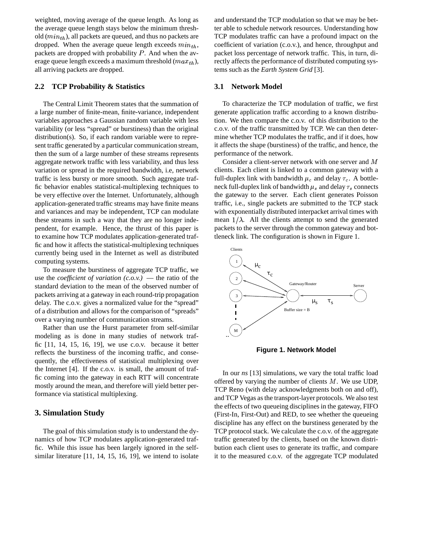weighted, moving average of the queue length. As long as the average queue length stays below the minimum threshold  $(min<sub>th</sub>)$ , all packets are queued, and thus no packets are dropped. When the average queue length exceeds  $min_{th}$ , coeffici packets are dropped with probability  $P$ . And when the average queue length exceeds a maximum threshold  $(max<sub>th</sub>)$ , all arriving packets are dropped.

#### **2.2 TCP Probability & Statistics**

The Central Limit Theorem states that the summation of a large number of finite-mean, finite-variance, independent variables approaches a Gaussian random variable with less variability (or less "spread" or burstiness) than the original distribution(s). So, if each random variable were to represent traffic generated by a particular communication stream, then the sum of a large number of these streams represents aggregate network traffic with less variability, and thus less variation or spread in the required bandwidth, i.e, network traffic is less bursty or more smooth. Such aggregate traffic behavior enables statistical-multiplexing techniques to be very effective over the Internet. Unfortunately, although application-generated traffic streams may have finite means and variances and may be independent, TCP can modulate these streams in such a way that they are no longer independent, for example. Hence, the thrust of this paper is to examine how TCP modulates application-generated traffic and how it affects the statistical-multiplexing techniques currently being used in the Internet as well as distributed computing systems.

To measure the burstiness of aggregate TCP traffic, we use the *coefficient of variation (c.o.v.)* — the ratio of the standard deviation to the mean of the observed number of packets arriving at a gateway in each round-trip propagation delay. The c.o.v. gives a normalized value for the "spread" of a distribution and allows for the comparison of "spreads" over a varying number of communication streams.

Rather than use the Hurst parameter from self-similar modeling as is done in many studies of network traffic [11, 14, 15, 16, 19], we use c.o.v. because it better reflects the burstiness of the incoming traffic, and consequently, the effectiveness of statistical multiplexing over the Internet [4]. If the c.o.v. is small, the amount of traffic coming into the gateway in each RTT will concentrate mostly around the mean, and therefore will yield better performance via statistical multiplexing.

# **3. Simulation Study**

The goal of this simulation study is to understand the dynamics of how TCP modulates application-generated traffic. While this issue has been largely ignored in the selfsimilar literature [11, 14, 15, 16, 19], we intend to isolate and understand the TCP modulation so that we may be better able to schedule network resources. Understanding how TCP modulates traffic can have a profound impact on the coefficient of variation (c.o.v.), and hence, throughput and packet loss percentage of network traffic. This, in turn, directly affects the performance of distributed computing systems such as the *Earth System Grid* [3].

#### **3.1 Network Model**

To characterize the TCP modulation of traffic, we first generate application traffic according to a known distribution. We then compare the c.o.v. of this distribution to the c.o.v. of the traffic transmitted by TCP. We can then determine whether TCP modulates the traffic, and if it does, how it affects the shape (burstiness) of the traffic, and hence, the performance of the network.

Consider a client-server network with one server and M clients. Each client is linked to a common gateway with a full-duplex link with bandwidth  $\mu_c$  and delay  $\tau_c$ . A bottleneck full-duplex link of bandwidth  $\mu_s$  and delay  $\tau_s$  connects the gateway to the server. Each client generates Poisson traffic, i.e., single packets are submitted to the TCP stack with exponentially distributed interpacket arrival times with mean  $1/\lambda$ . All the clients attempt to send the generated packets to the server through the common gateway and bottleneck link. The configuration is shown in Figure 1.



**Figure 1. Network Model**

In our *ns* [13] simulations, we vary the total traffic load offered by varying the number of clients  $M$ . We use UDP, TCP Reno (with delay acknowledgments both on and off), and TCP Vegas as the transport-layer protocols. We also test the effects of two queueing disciplines in the gateway, FIFO (First-In, First-Out) and RED, to see whether the queueing discipline has any effect on the burstiness generated by the TCP protocol stack. We calculate the c.o.v. of the aggregate traffic generated by the clients, based on the known distribution each client uses to generate its traffic, and compare it to the measured c.o.v. of the aggregate TCP modulated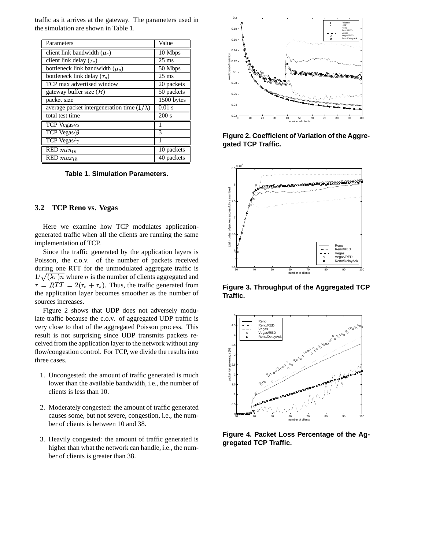traffic as it arrives at the gateway. The parameters used in the simulation are shown in Table 1.

| Parameters                                        | Value           |
|---------------------------------------------------|-----------------|
| client link bandwidth $(\mu_c)$                   | 10 Mbps         |
| client link delay $(\tau_c)$                      | $25 \text{ ms}$ |
| bottleneck link bandwidth $(\mu_s)$               | 50 Mbps         |
| bottleneck link delay $(\tau_s)$                  | $25 \text{ ms}$ |
| TCP max advertised window                         | 20 packets      |
| gateway buffer size $(B)$                         | 50 packets      |
| packet size                                       | 1500 bytes      |
| average packet intergeneration time $(1/\lambda)$ | $0.01$ s        |
| total test time                                   | 200 s           |
| TCP Vegas/ $\alpha$                               | 1               |
| TCP Vegas/ $\beta$                                | 3               |
| TCP Vegas/ $\gamma$                               | 1               |
| $RED min_{th}$                                    | 10 packets      |
| $RED \, max_{th}$                                 | 40 packets      |

**Table 1. Simulation Parameters.**

#### **3.2 TCP Reno vs. Vegas**

Here we examine how TCP modulates applicationgenerated traffic when all the clients are running the same implementation of TCP.

Since the traffic generated by the application layers is Poisson, the c.o.v. of the number of packets received during one RTT for the unmodulated aggregate traffic is  $1/\sqrt{(\lambda \tau)}n$  where *n* is the number of clients aggregated and  $\tau = RTT = 2(\tau_c + \tau_s)$ . Thus, the traffic generated from the application layer becomes smoother as the number of sources increases.

Figure 2 shows that UDP does not adversely modulate traffic because the c.o.v. of aggregated UDP traffic is very close to that of the aggregated Poisson process. This result is not surprising since UDP transmits packets received from the application layer to the network without any flow/congestion control. For TCP, we divide the results into three cases.

- 1. Uncongested: the amount of traffic generated is much lower than the available bandwidth, i.e., the number of clients is less than 10.
- 2. Moderately congested: the amount of traffic generated causes some, but not severe, congestion, i.e., the number of clients is between 10 and 38.
- 3. Heavily congested: the amount of traffic generated is higher than what the network can handle, i.e., the number of clients is greater than 38.



**Figure 2. Coefficient of Variation of the Aggregated TCP Traffic.**



**Figure 3. Throughput of the Aggregated TCP Traffic.**



**Figure 4. Packet Loss Percentage of the Aggregated TCP Traffic.**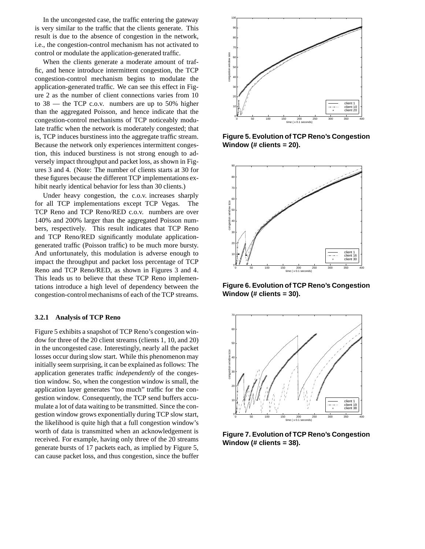In the uncongested case, the traffic entering the gateway is very similar to the traffic that the clients generate. This result is due to the absence of congestion in the network, i.e., the congestion-control mechanism has not activated to control or modulate the application-generated traffic.

When the clients generate a moderate amount of traffic, and hence introduce intermittent congestion, the TCP congestion-control mechanism begins to modulate the application-generated traffic. We can see this effect in Figure 2 as the number of client connections varies from 10 to 38 — the TCP c.o.v. numbers are up to 50% higher than the aggregated Poisson, and hence indicate that the congestion-control mechanisms of TCP noticeably modulate traffic when the network is moderately congested; that is, TCP induces burstiness into the aggregate traffic stream. Because the network only experiences intermittent congestion, this induced burstiness is not strong enough to adversely impact throughput and packet loss, as shown in Figures 3 and 4. (Note: The number of clients starts at 30 for these figures because the different TCP implementations exhibit nearly identical behavior for less than 30 clients.)

Under heavy congestion, the c.o.v. increases sharply for all TCP implementations except TCP Vegas. The TCP Reno and TCP Reno/RED c.o.v. numbers are over 140% and 200% larger than the aggregated Poisson numbers, respectively. This result indicates that TCP Reno and TCP Reno/RED significantly modulate applicationgenerated traffic (Poisson traffic) to be much more bursty. And unfortunately, this modulation is adverse enough to impact the throughput and packet loss percentage of TCP Reno and TCP Reno/RED, as shown in Figures 3 and 4. This leads us to believe that these TCP Reno implementations introduce a high level of dependency between the congestion-control mechanisms of each of the TCP streams.

#### **3.2.1 Analysis of TCP Reno**

Figure 5 exhibits a snapshot of TCP Reno's congestion window for three of the 20 client streams (clients 1, 10, and 20) in the uncongested case. Interestingly, nearly all the packet losses occur during slow start. While this phenomenon may initially seem surprising, it can be explained as follows: The application generates traffic *independently* of the congestion window. So, when the congestion window is small, the application layer generates "too much" traffic for the congestion window. Consequently, the TCP send buffers accumulate a lot of data waiting to be transmitted. Since the congestion window grows exponentially during TCP slow start, the likelihood is quite high that a full congestion window's worth of data is transmitted when an acknowledgement is received. For example, having only three of the 20 streams generate bursts of 17 packets each, as implied by Figure 5, can cause packet loss, and thus congestion, since the buffer



**Figure 5. Evolution of TCP Reno's Congestion Window (# clients = 20).**



**Figure 6. Evolution of TCP Reno's Congestion Window (# clients = 30).**



**Figure 7. Evolution of TCP Reno's Congestion Window (# clients = 38).**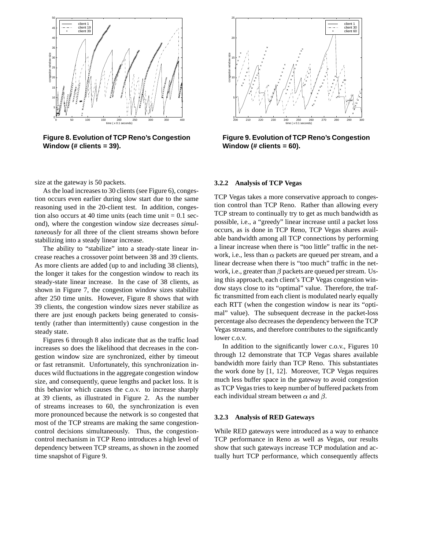

**Figure 8. Evolution of TCP Reno's Congestion Window (# clients = 39).**

size at the gateway is 50 packets.

As the load increases to 30 clients (see Figure 6), congestion occurs even earlier during slow start due to the same reasoning used in the 20-client test. In addition, congestion also occurs at 40 time units (each time unit  $= 0.1$  second), where the congestion window size decreases *simultaneously* for all three of the client streams shown before stabilizing into a steady linear increase.

The ability to "stabilize" into a steady-state linear increase reaches a crossover point between 38 and 39 clients. As more clients are added (up to and including 38 clients), the longer it takes for the congestion window to reach its steady-state linear increase. In the case of 38 clients, as shown in Figure 7, the congestion window sizes stabilize after 250 time units. However, Figure 8 shows that with 39 clients, the congestion window sizes never stabilize as there are just enough packets being generated to consistently (rather than intermittently) cause congestion in the steady state.

Figures 6 through 8 also indicate that as the traffic load increases so does the likelihood that decreases in the congestion window size are synchronized, either by timeout or fast retransmit. Unfortunately, this synchronization induces wild fluctuations in the aggregate congestion window size, and consequently, queue lengths and packet loss. It is this behavior which causes the c.o.v. to increase sharply at 39 clients, as illustrated in Figure 2. As the number of streams increases to 60, the synchronization is even more pronounced because the network is so congested that most of the TCP streams are making the same congestioncontrol decisions simultaneously. Thus, the congestioncontrol mechanism in TCP Reno introduces a high level of dependency between TCP streams, as shown in the zoomed time snapshot of Figure 9.



**Figure 9. Evolution of TCP Reno's Congestion Window (# clients = 60).**

#### **3.2.2 Analysis of TCP Vegas**

TCP Vegas takes a more conservative approach to congestion control than TCP Reno. Rather than allowing every TCP stream to continually try to get as much bandwidth as possible, i.e., a "greedy" linear increase until a packet loss occurs, as is done in TCP Reno, TCP Vegas shares available bandwidth among all TCP connections by performing a linear increase when there is "too little" traffic in the network, i.e., less than  $\alpha$  packets are queued per stream, and a linear decrease when there is "too much" traffic in the network, i.e., greater than  $\beta$  packets are queued per stream. Using this approach, each client's TCP Vegas congestion window stays close to its "optimal" value. Therefore, the traffic transmitted from each client is modulated nearly equally each RTT (when the congestion window is near its "optimal" value). The subsequent decrease in the packet-loss percentage also decreases the dependency between the TCP Vegas streams, and therefore contributes to the significantly lower c.o.v.

In addition to the significantly lower c.o.v., Figures 10 through 12 demonstrate that TCP Vegas shares available bandwidth more fairly than TCP Reno. This substantiates the work done by [1, 12]. Moreover, TCP Vegas requires much less buffer space in the gateway to avoid congestion as TCP Vegas tries to keep number of buffered packets from each individual stream between  $\alpha$  and  $\beta$ .

#### **3.2.3 Analysis of RED Gateways**

While RED gateways were introduced as a way to enhance TCP performance in Reno as well as Vegas, our results show that such gateways increase TCP modulation and actually hurt TCP performance, which consequently affects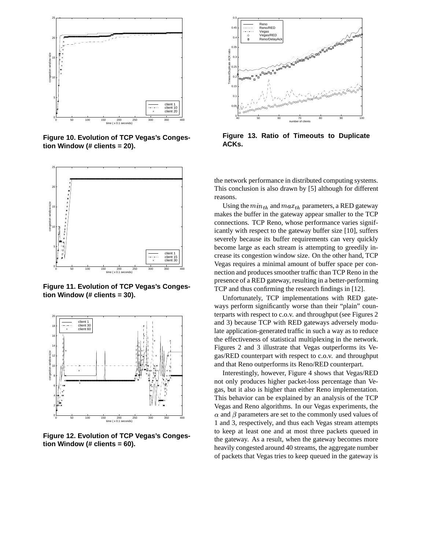

**Figure 10. Evolution of TCP Vegas's Congestion Window (# clients = 20).**



**Figure 11. Evolution of TCP Vegas's Congestion Window (# clients = 30).**



**Figure 12. Evolution of TCP Vegas's Congestion Window (# clients = 60).**



**Figure 13. Ratio of Timeouts to Duplicate ACKs.**

the network performance in distributed computing systems. This conclusion is also drawn by [5] although for different reasons.

Using the  $min_{th}$  and  $max_{th}$  parameters, a RED gateway makes the buffer in the gateway appear smaller to the TCP connections. TCP Reno, whose performance varies significantly with respect to the gateway buffer size [10], suffers severely because its buffer requirements can very quickly become large as each stream is attempting to greedily increase its congestion window size. On the other hand, TCP Vegas requires a minimal amount of buffer space per connection and produces smoother traffic than TCP Reno in the presence of a RED gateway, resulting in a better-performing TCP and thus confirming the research findings in [12].

Unfortunately, TCP implementations with RED gateways perform significantly worse than their "plain" counterparts with respect to c.o.v. and throughput (see Figures 2 and 3) because TCP with RED gateways adversely modulate application-generated traffic in such a way as to reduce the effectiveness of statistical multiplexing in the network. Figures 2 and 3 illustrate that Vegas outperforms its Vegas/RED counterpart with respect to c.o.v. and throughput and that Reno outperforms its Reno/RED counterpart.

Interestingly, however, Figure 4 shows that Vegas/RED not only produces higher packet-loss percentage than Vegas, but it also is higher than either Reno implementation. This behavior can be explained by an analysis of the TCP Vegas and Reno algorithms. In our Vegas experiments, the  $\alpha$  and  $\beta$  parameters are set to the commonly used values of 1 and 3, respectively, and thus each Vegas stream attempts to keep at least one and at most three packets queued in the gateway. As a result, when the gateway becomes more heavily congested around 40 streams, the aggregate number of packets that Vegas tries to keep queued in the gateway is